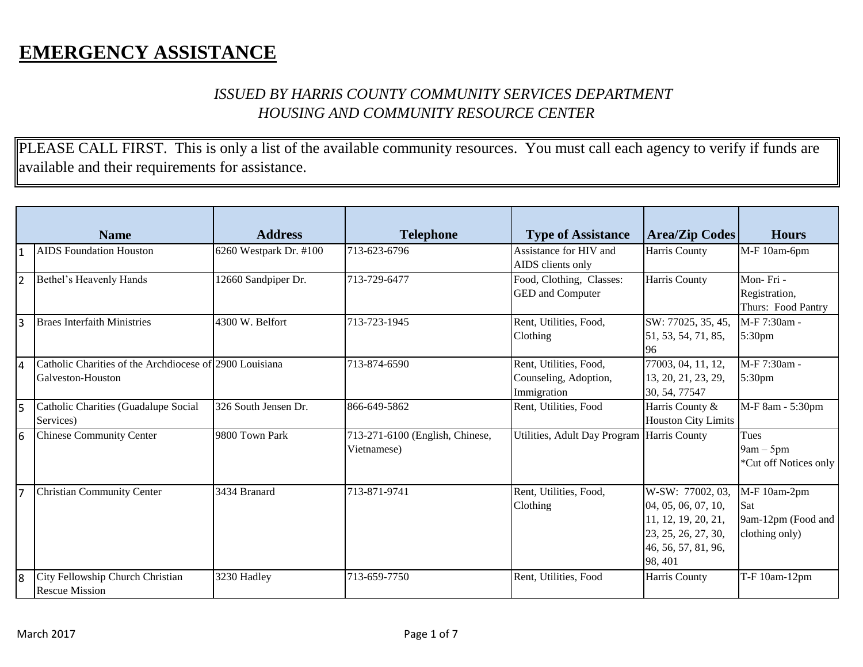## **EMERGENCY ASSISTANCE**

## *ISSUED BY HARRIS COUNTY COMMUNITY SERVICES DEPARTMENT HOUSING AND COMMUNITY RESOURCE CENTER*

PLEASE CALL FIRST. This is only a list of the available community resources. You must call each agency to verify if funds are available and their requirements for assistance.

|                | <b>Name</b>                                                                  | <b>Address</b>         | <b>Telephone</b>                               | <b>Type of Assistance</b>                                      | <b>Area/Zip Codes</b>                                                                                                   | <b>Hours</b>                                                |
|----------------|------------------------------------------------------------------------------|------------------------|------------------------------------------------|----------------------------------------------------------------|-------------------------------------------------------------------------------------------------------------------------|-------------------------------------------------------------|
|                | <b>AIDS</b> Foundation Houston                                               | 6260 Westpark Dr. #100 | 713-623-6796                                   | Assistance for HIV and<br>AIDS clients only                    | Harris County                                                                                                           | M-F 10am-6pm                                                |
| $\overline{2}$ | Bethel's Heavenly Hands                                                      | 12660 Sandpiper Dr.    | 713-729-6477                                   | Food, Clothing, Classes:<br>GED and Computer                   | Harris County                                                                                                           | Mon-Fri-<br>Registration,<br>Thurs: Food Pantry             |
| 3              | <b>Braes Interfaith Ministries</b>                                           | 4300 W. Belfort        | 713-723-1945                                   | Rent, Utilities, Food,<br>Clothing                             | SW: 77025, 35, 45,<br>51, 53, 54, 71, 85,<br>96                                                                         | M-F 7:30am -<br>5:30pm                                      |
| <b>4</b>       | Catholic Charities of the Archdiocese of 2900 Louisiana<br>Galveston-Houston |                        | 713-874-6590                                   | Rent, Utilities, Food,<br>Counseling, Adoption,<br>Immigration | 77003, 04, 11, 12,<br>13, 20, 21, 23, 29,<br>30, 54, 77547                                                              | M-F 7:30am -<br>5:30pm                                      |
| l5             | Catholic Charities (Guadalupe Social<br>Services)                            | 326 South Jensen Dr.   | 866-649-5862                                   | Rent, Utilities, Food                                          | Harris County &<br><b>Houston City Limits</b>                                                                           | M-F 8am - 5:30pm                                            |
| l6             | Chinese Community Center                                                     | 9800 Town Park         | 713-271-6100 (English, Chinese,<br>Vietnamese) | Utilities, Adult Day Program Harris County                     |                                                                                                                         | Tues<br>$9am - 5pm$<br>*Cut off Notices only                |
|                | <b>Christian Community Center</b>                                            | 3434 Branard           | 713-871-9741                                   | Rent, Utilities, Food,<br>Clothing                             | W-SW: 77002, 03,<br>04, 05, 06, 07, 10,<br>11, 12, 19, 20, 21,<br>23, 25, 26, 27, 30,<br>46, 56, 57, 81, 96,<br>98, 401 | M-F 10am-2pm<br>Sat<br>9am-12pm (Food and<br>clothing only) |
| l8             | City Fellowship Church Christian<br><b>Rescue Mission</b>                    | 3230 Hadley            | 713-659-7750                                   | Rent, Utilities, Food                                          | Harris County                                                                                                           | T-F 10am-12pm                                               |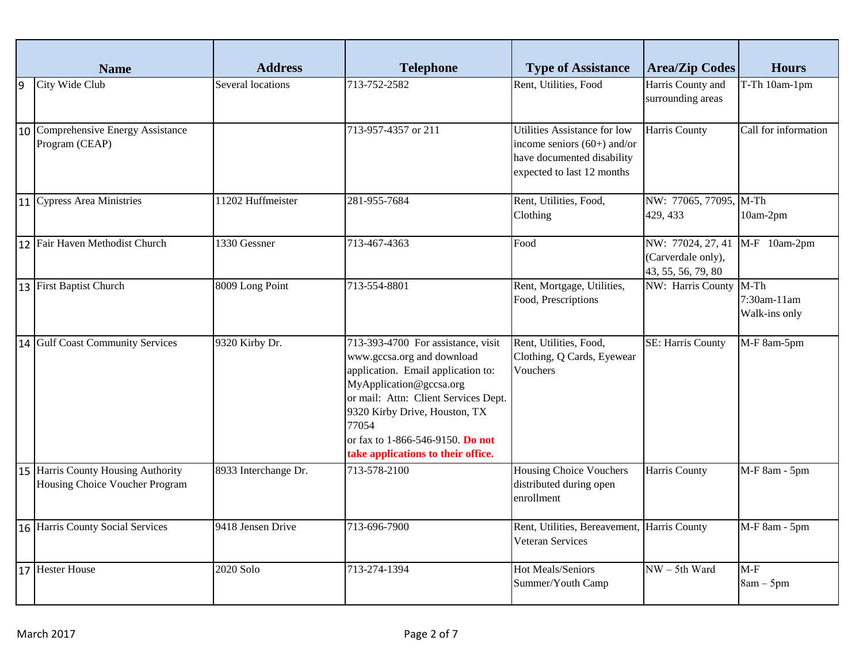|    | <b>Name</b>                                                          | <b>Address</b>       | <b>Telephone</b>                                                                                                                                                                                                                                                                              | <b>Type of Assistance</b>                                                                                                 | <b>Area/Zip Codes</b>                                         | <b>Hours</b>                           |
|----|----------------------------------------------------------------------|----------------------|-----------------------------------------------------------------------------------------------------------------------------------------------------------------------------------------------------------------------------------------------------------------------------------------------|---------------------------------------------------------------------------------------------------------------------------|---------------------------------------------------------------|----------------------------------------|
| 9  | City Wide Club                                                       | Several locations    | 713-752-2582                                                                                                                                                                                                                                                                                  | Rent, Utilities, Food                                                                                                     | Harris County and<br>surrounding areas                        | T-Th 10am-1pm                          |
| 10 | Comprehensive Energy Assistance<br>Program (CEAP)                    |                      | 713-957-4357 or 211                                                                                                                                                                                                                                                                           | Utilities Assistance for low<br>income seniors $(60+)$ and/or<br>have documented disability<br>expected to last 12 months | Harris County                                                 | Call for information                   |
|    | 11 Cypress Area Ministries                                           | 11202 Huffmeister    | 281-955-7684                                                                                                                                                                                                                                                                                  | Rent, Utilities, Food,<br>Clothing                                                                                        | NW: 77065, 77095, M-Th<br>429, 433                            | 10am-2pm                               |
|    | 12 Fair Haven Methodist Church                                       | 1330 Gessner         | 713-467-4363                                                                                                                                                                                                                                                                                  | Food                                                                                                                      | NW: 77024, 27, 41<br>(Carverdale only),<br>43, 55, 56, 79, 80 | M-F 10am-2pm                           |
|    | 13 First Baptist Church                                              | 8009 Long Point      | 713-554-8801                                                                                                                                                                                                                                                                                  | Rent, Mortgage, Utilities,<br>Food, Prescriptions                                                                         | NW: Harris County                                             | $M-Th$<br>7:30am-11am<br>Walk-ins only |
|    | 14 Gulf Coast Community Services                                     | 9320 Kirby Dr.       | 713-393-4700 For assistance, visit<br>www.gccsa.org and download<br>application. Email application to:<br>MyApplication@gccsa.org<br>or mail: Attn: Client Services Dept.<br>9320 Kirby Drive, Houston, TX<br>77054<br>or fax to 1-866-546-9150. Do not<br>take applications to their office. | Rent, Utilities, Food,<br>Clothing, Q Cards, Eyewear<br>Vouchers                                                          | SE: Harris County                                             | M-F 8am-5pm                            |
|    | 15 Harris County Housing Authority<br>Housing Choice Voucher Program | 8933 Interchange Dr. | 713-578-2100                                                                                                                                                                                                                                                                                  | <b>Housing Choice Vouchers</b><br>distributed during open<br>enrollment                                                   | Harris County                                                 | M-F 8am - 5pm                          |
|    | 16 Harris County Social Services                                     | 9418 Jensen Drive    | 713-696-7900                                                                                                                                                                                                                                                                                  | Rent, Utilities, Bereavement, Harris County<br>Veteran Services                                                           |                                                               | M-F 8am - 5pm                          |
|    | 17 Hester House                                                      | 2020 Solo            | 713-274-1394                                                                                                                                                                                                                                                                                  | <b>Hot Meals/Seniors</b><br>Summer/Youth Camp                                                                             | $NW - 5th Ward$                                               | $M-F$<br>$8am - 5pm$                   |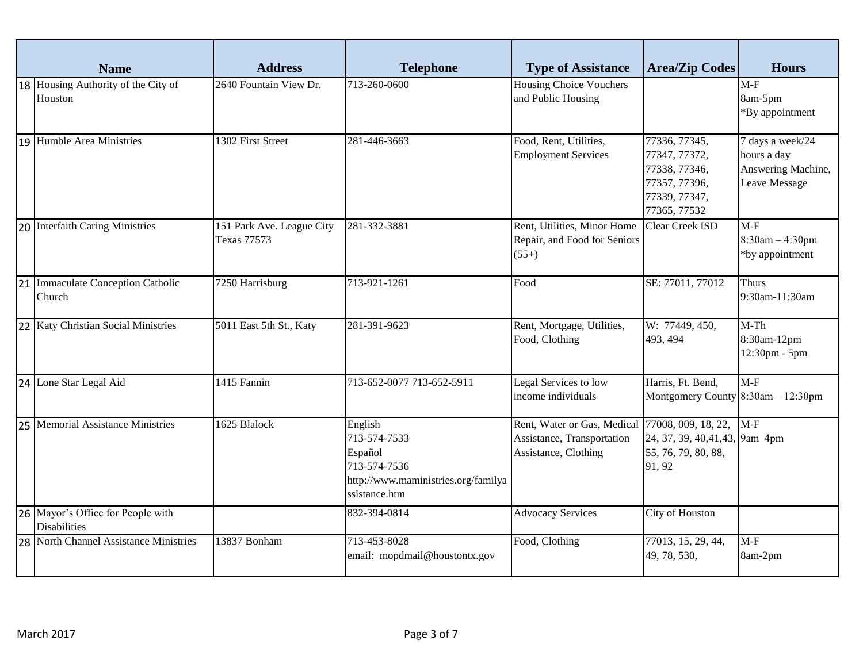| <b>Name</b>                                              | <b>Address</b>                           | <b>Telephone</b>                                                                                           | <b>Type of Assistance</b>                                                                             | <b>Area/Zip Codes</b>                                                                             | <b>Hours</b>                                                           |
|----------------------------------------------------------|------------------------------------------|------------------------------------------------------------------------------------------------------------|-------------------------------------------------------------------------------------------------------|---------------------------------------------------------------------------------------------------|------------------------------------------------------------------------|
| 18 Housing Authority of the City of<br>Houston           | 2640 Fountain View Dr.                   | 713-260-0600                                                                                               | <b>Housing Choice Vouchers</b><br>and Public Housing                                                  |                                                                                                   | $M-F$<br>8am-5pm<br>*By appointment                                    |
| 19 Humble Area Ministries                                | 1302 First Street                        | 281-446-3663                                                                                               | Food, Rent, Utilities,<br><b>Employment Services</b>                                                  | 77336, 77345,<br>77347, 77372,<br>77338, 77346,<br>77357, 77396,<br>77339, 77347,<br>77365, 77532 | 7 days a week/24<br>hours a day<br>Answering Machine,<br>Leave Message |
| 20 Interfaith Caring Ministries                          | 151 Park Ave. League City<br>Texas 77573 | 281-332-3881                                                                                               | Rent, Utilities, Minor Home<br>Repair, and Food for Seniors<br>$(55+)$                                | Clear Creek ISD                                                                                   | $M-F$<br>$8:30am - 4:30pm$<br>*by appointment                          |
| 21 Immaculate Conception Catholic<br>Church              | 7250 Harrisburg                          | 713-921-1261                                                                                               | Food                                                                                                  | SE: 77011, 77012                                                                                  | <b>Thurs</b><br>9:30am-11:30am                                         |
| 22   Katy Christian Social Ministries                    | 5011 East 5th St., Katy                  | 281-391-9623                                                                                               | Rent, Mortgage, Utilities,<br>Food, Clothing                                                          | W: 77449, 450,<br>493, 494                                                                        | $M-Th$<br>8:30am-12pm<br>12:30pm - 5pm                                 |
| 24 Lone Star Legal Aid                                   | 1415 Fannin                              | 713-652-0077 713-652-5911                                                                                  | Legal Services to low<br>income individuals                                                           | Harris, Ft. Bend,<br>Montgomery County $8:30$ am $-12:30$ pm                                      | $M-F$                                                                  |
| 25 Memorial Assistance Ministries                        | 1625 Blalock                             | English<br>713-574-7533<br>Español<br>713-574-7536<br>http://www.maministries.org/familya<br>ssistance.htm | Rent, Water or Gas, Medical 77008, 009, 18, 22,<br>Assistance, Transportation<br>Assistance, Clothing | 24, 37, 39, 40, 41, 43, 9am-4pm<br>55, 76, 79, 80, 88,<br>91, 92                                  | $M-F$                                                                  |
| 26 Mayor's Office for People with<br><b>Disabilities</b> |                                          | 832-394-0814                                                                                               | <b>Advocacy Services</b>                                                                              | City of Houston                                                                                   |                                                                        |
| 28 North Channel Assistance Ministries                   | 13837 Bonham                             | 713-453-8028<br>email: mopdmail@houstontx.gov                                                              | Food, Clothing                                                                                        | 77013, 15, 29, 44,<br>49, 78, 530,                                                                | $M-F$<br>8am-2pm                                                       |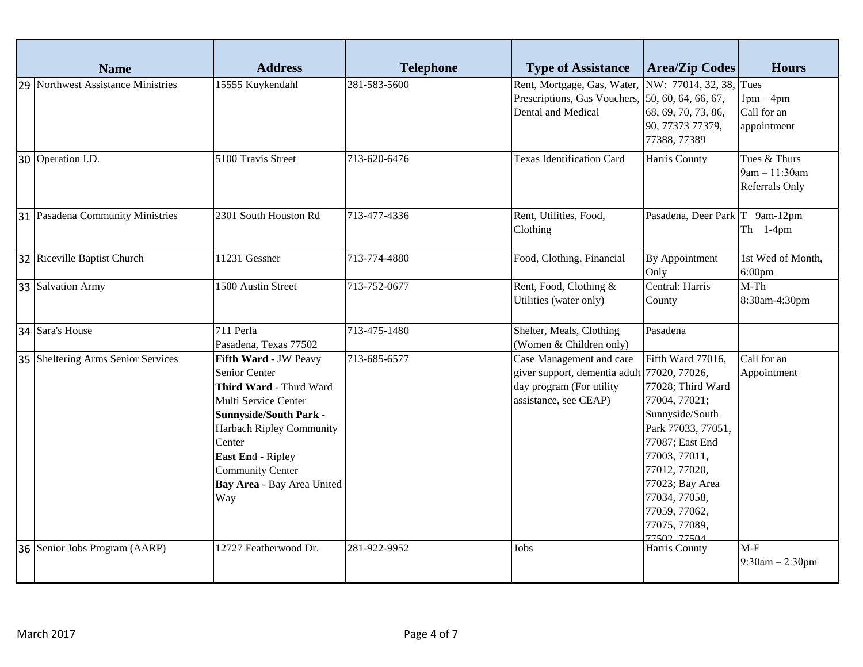| <b>Name</b>                        | <b>Address</b>                                                                                                                                                                                                                                        | <b>Telephone</b> | <b>Type of Assistance</b>                                                                                                    | <b>Area/Zip Codes</b>                                                                                                                                                                                                                             | <b>Hours</b>                                           |
|------------------------------------|-------------------------------------------------------------------------------------------------------------------------------------------------------------------------------------------------------------------------------------------------------|------------------|------------------------------------------------------------------------------------------------------------------------------|---------------------------------------------------------------------------------------------------------------------------------------------------------------------------------------------------------------------------------------------------|--------------------------------------------------------|
| 29 Northwest Assistance Ministries | 15555 Kuykendahl                                                                                                                                                                                                                                      | 281-583-5600     | Rent, Mortgage, Gas, Water,<br>Prescriptions, Gas Vouchers,<br>Dental and Medical                                            | NW: 77014, 32, 38,<br>50, 60, 64, 66, 67,<br>68, 69, 70, 73, 86,<br>90, 77373 77379,<br>77388, 77389                                                                                                                                              | Tues<br>$1pm-4pm$<br>Call for an<br>appointment        |
| 30 Operation I.D.                  | 5100 Travis Street                                                                                                                                                                                                                                    | 713-620-6476     | <b>Texas Identification Card</b>                                                                                             | Harris County                                                                                                                                                                                                                                     | Tues & Thurs<br>9am - 11:30am<br><b>Referrals Only</b> |
| 31 Pasadena Community Ministries   | 2301 South Houston Rd                                                                                                                                                                                                                                 | 713-477-4336     | Rent, Utilities, Food,<br>Clothing                                                                                           | Pasadena, Deer Park T 9am-12pm                                                                                                                                                                                                                    | Th $1-4$ pm                                            |
| 32 Riceville Baptist Church        | 11231 Gessner                                                                                                                                                                                                                                         | 713-774-4880     | Food, Clothing, Financial                                                                                                    | By Appointment<br>Only                                                                                                                                                                                                                            | 1st Wed of Month,<br>$6:00$ pm                         |
| 33 Salvation Army                  | 1500 Austin Street                                                                                                                                                                                                                                    | 713-752-0677     | Rent, Food, Clothing &<br>Utilities (water only)                                                                             | Central: Harris<br>County                                                                                                                                                                                                                         | $M-Th$<br>8:30am-4:30pm                                |
| 34 Sara's House                    | 711 Perla<br>Pasadena, Texas 77502                                                                                                                                                                                                                    | 713-475-1480     | Shelter, Meals, Clothing<br>(Women & Children only)                                                                          | Pasadena                                                                                                                                                                                                                                          |                                                        |
| 35 Sheltering Arms Senior Services | Fifth Ward - JW Peavy<br>Senior Center<br>Third Ward - Third Ward<br>Multi Service Center<br><b>Sunnyside/South Park -</b><br>Harbach Ripley Community<br>Center<br>East End - Ripley<br><b>Community Center</b><br>Bay Area - Bay Area United<br>Way | 713-685-6577     | Case Management and care<br>giver support, dementia adult 77020, 77026,<br>day program (For utility<br>assistance, see CEAP) | Fifth Ward 77016,<br>77028; Third Ward<br>77004, 77021;<br>Sunnyside/South<br>Park 77033, 77051,<br>77087; East End<br>77003, 77011,<br>77012, 77020,<br>77023; Bay Area<br>77034, 77058,<br>77059, 77062,<br>77075, 77089,<br><b>77502 77504</b> | Call for an<br>Appointment                             |
| 36 Senior Jobs Program (AARP)      | 12727 Featherwood Dr.                                                                                                                                                                                                                                 | 281-922-9952     | Jobs                                                                                                                         | Harris County                                                                                                                                                                                                                                     | $M-F$<br>$9:30am - 2:30pm$                             |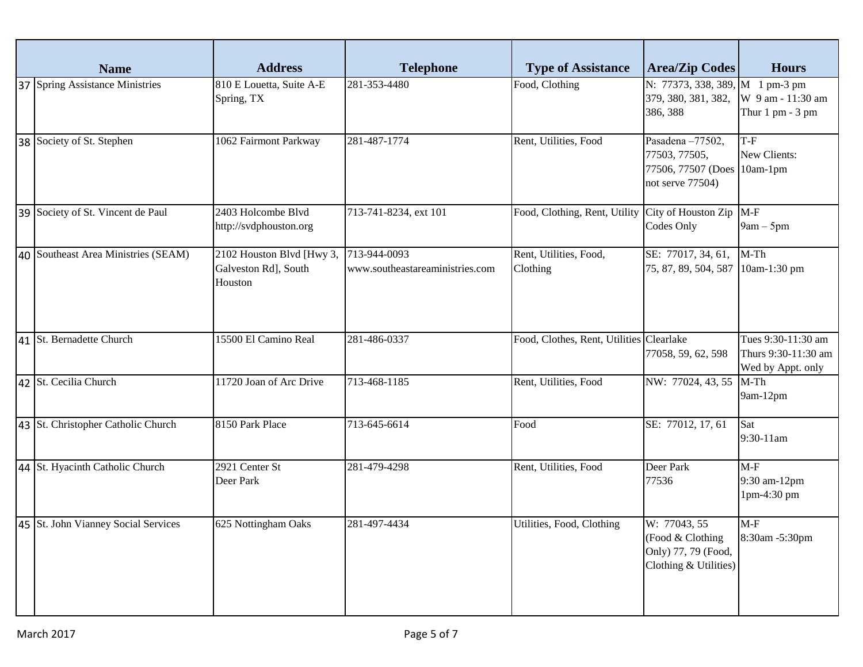| <b>Name</b>                         | <b>Address</b>                                               | <b>Telephone</b>                                | <b>Type of Assistance</b>                | <b>Area/Zip Codes</b>                                                                | <b>Hours</b>                                                   |
|-------------------------------------|--------------------------------------------------------------|-------------------------------------------------|------------------------------------------|--------------------------------------------------------------------------------------|----------------------------------------------------------------|
| 37 Spring Assistance Ministries     | 810 E Louetta, Suite A-E<br>Spring, TX                       | 281-353-4480                                    | Food, Clothing                           | N: 77373, 338, 389, M 1 pm-3 pm<br>379, 380, 381, 382,<br>386, 388                   | W 9 am - 11:30 am<br>Thur $1$ pm $-3$ pm                       |
| 38 Society of St. Stephen           | 1062 Fairmont Parkway                                        | 281-487-1774                                    | Rent, Utilities, Food                    | Pasadena-77502,<br>77503, 77505,<br>77506, 77507 (Does 10am-1pm)<br>not serve 77504) | T-F<br>New Clients:                                            |
| 39 Society of St. Vincent de Paul   | 2403 Holcombe Blvd<br>http://svdphouston.org                 | 713-741-8234, ext 101                           | Food, Clothing, Rent, Utility            | City of Houston Zip<br>Codes Only                                                    | $M-F$<br>$9am - 5pm$                                           |
| 40 Southeast Area Ministries (SEAM) | 2102 Houston Blvd [Hwy 3,<br>Galveston Rd], South<br>Houston | 713-944-0093<br>www.southeastareaministries.com | Rent, Utilities, Food,<br>Clothing       | SE: 77017, 34, 61,<br>75, 87, 89, 504, 587                                           | $M-Th$<br>10am-1:30 pm                                         |
| 41 St. Bernadette Church            | 15500 El Camino Real                                         | 281-486-0337                                    | Food, Clothes, Rent, Utilities Clearlake | 77058, 59, 62, 598                                                                   | Tues 9:30-11:30 am<br>Thurs 9:30-11:30 am<br>Wed by Appt. only |
| 42 St. Cecilia Church               | 11720 Joan of Arc Drive                                      | 713-468-1185                                    | Rent, Utilities, Food                    | NW: 77024, 43, 55                                                                    | $M-Th$<br>9am-12pm                                             |
| 43 St. Christopher Catholic Church  | 8150 Park Place                                              | 713-645-6614                                    | Food                                     | SE: 77012, 17, 61                                                                    | Sat<br>9:30-11am                                               |
| 44 St. Hyacinth Catholic Church     | 2921 Center St<br>Deer Park                                  | 281-479-4298                                    | Rent, Utilities, Food                    | Deer Park<br>77536                                                                   | $M-F$<br>9:30 am-12pm<br>1pm-4:30 pm                           |
| 45 St. John Vianney Social Services | 625 Nottingham Oaks                                          | 281-497-4434                                    | Utilities, Food, Clothing                | W: 77043, 55<br>(Food & Clothing<br>Only) 77, 79 (Food,<br>Clothing & Utilities)     | $M-F$<br>8:30am -5:30pm                                        |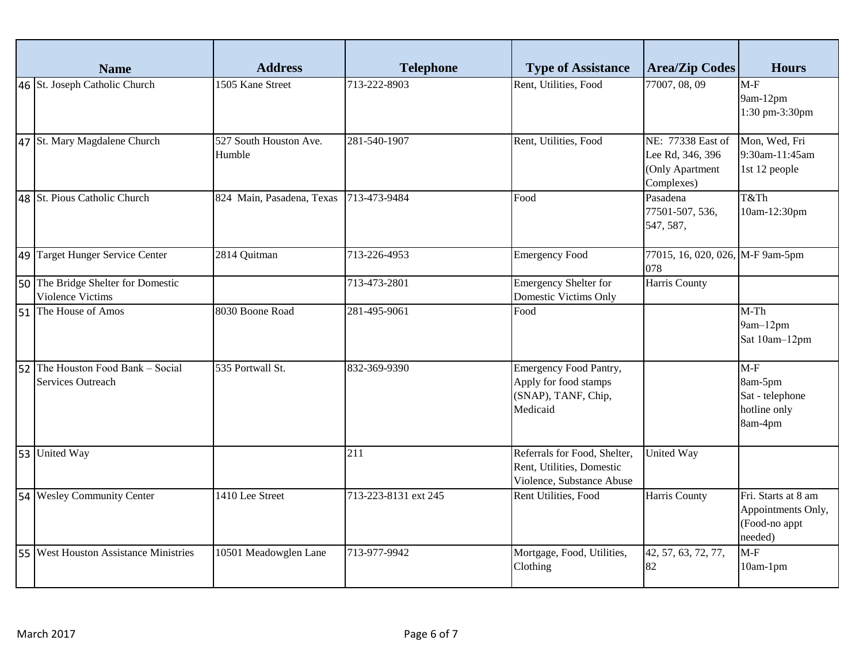|    | <b>Name</b>                                                   | <b>Address</b>                   | <b>Telephone</b>     | <b>Type of Assistance</b>                                                                 | <b>Area/Zip Codes</b>                                                  | <b>Hours</b>                                                          |
|----|---------------------------------------------------------------|----------------------------------|----------------------|-------------------------------------------------------------------------------------------|------------------------------------------------------------------------|-----------------------------------------------------------------------|
|    | 46 St. Joseph Catholic Church                                 | 1505 Kane Street                 | 713-222-8903         | Rent, Utilities, Food                                                                     | 77007, 08, 09                                                          | $M-F$<br>9am-12pm<br>1:30 pm-3:30pm                                   |
|    | 47 St. Mary Magdalene Church                                  | 527 South Houston Ave.<br>Humble | 281-540-1907         | Rent, Utilities, Food                                                                     | NE: 77338 East of<br>Lee Rd, 346, 396<br>(Only Apartment<br>Complexes) | Mon, Wed, Fri<br>9:30am-11:45am<br>1st 12 people                      |
|    | 48 St. Pious Catholic Church                                  | 824 Main, Pasadena, Texas        | 713-473-9484         | Food                                                                                      | Pasadena<br>77501-507, 536,<br>547, 587,                               | T&Th<br>10am-12:30pm                                                  |
|    | 49 Target Hunger Service Center                               | 2814 Quitman                     | 713-226-4953         | <b>Emergency Food</b>                                                                     | 77015, 16, 020, 026, M-F 9am-5pm<br>078                                |                                                                       |
|    | 50 The Bridge Shelter for Domestic<br>Violence Victims        |                                  | 713-473-2801         | Emergency Shelter for<br>Domestic Victims Only                                            | Harris County                                                          |                                                                       |
| 51 | The House of Amos                                             | 8030 Boone Road                  | 281-495-9061         | Food                                                                                      |                                                                        | $M-Th$<br>9am-12pm<br>Sat 10am-12pm                                   |
|    | 52 The Houston Food Bank - Social<br><b>Services Outreach</b> | 535 Portwall St.                 | 832-369-9390         | <b>Emergency Food Pantry,</b><br>Apply for food stamps<br>(SNAP), TANF, Chip,<br>Medicaid |                                                                        | $M-F$<br>8am-5pm<br>Sat - telephone<br>hotline only<br>8am-4pm        |
|    | 53 United Way                                                 |                                  | 211                  | Referrals for Food, Shelter,<br>Rent, Utilities, Domestic<br>Violence, Substance Abuse    | United Way                                                             |                                                                       |
|    | 54 Wesley Community Center                                    | 1410 Lee Street                  | 713-223-8131 ext 245 | Rent Utilities, Food                                                                      | Harris County                                                          | Fri. Starts at 8 am<br>Appointments Only,<br>(Food-no appt<br>needed) |
|    | 55 West Houston Assistance Ministries                         | 10501 Meadowglen Lane            | 713-977-9942         | Mortgage, Food, Utilities,<br>Clothing                                                    | 42, 57, 63, 72, 77,<br>82                                              | $M-F$<br>$10am-1pm$                                                   |